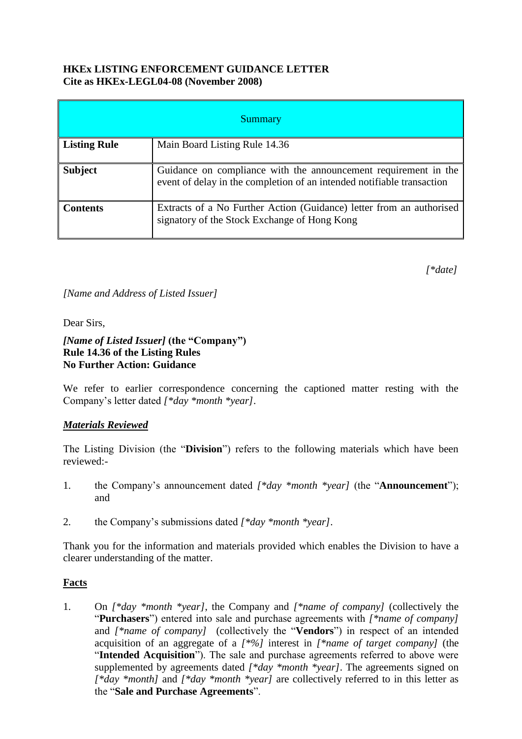#### **HKEx LISTING ENFORCEMENT GUIDANCE LETTER Cite as HKEx-LEGL04-08 (November 2008)**

| <b>Summary</b>      |                                                                                                                                           |
|---------------------|-------------------------------------------------------------------------------------------------------------------------------------------|
| <b>Listing Rule</b> | Main Board Listing Rule 14.36                                                                                                             |
| <b>Subject</b>      | Guidance on compliance with the announcement requirement in the<br>event of delay in the completion of an intended notifiable transaction |
| <b>Contents</b>     | Extracts of a No Further Action (Guidance) letter from an authorised<br>signatory of the Stock Exchange of Hong Kong                      |

*[\*date]* 

*[Name and Address of Listed Issuer]*

Dear Sirs,

#### *[Name of Listed Issuer]* **(the "Company") Rule 14.36 of the Listing Rules No Further Action: Guidance**

We refer to earlier correspondence concerning the captioned matter resting with the Company's letter dated *[\*day \*month \*year]*.

#### *Materials Reviewed*

The Listing Division (the "**Division**") refers to the following materials which have been reviewed:-

- 1. the Company's announcement dated *[\*day \*month \*year]* (the "**Announcement**"); and
- 2. the Company's submissions dated *[\*day \*month \*year]*.

Thank you for the information and materials provided which enables the Division to have a clearer understanding of the matter.

#### **Facts**

1. On *[\*day \*month \*year]*, the Company and *[\*name of company]* (collectively the "**Purchasers**") entered into sale and purchase agreements with *[\*name of company]*  and *[\*name of company]* (collectively the "**Vendors**") in respect of an intended acquisition of an aggregate of a *[\*%]* interest in *[\*name of target company]* (the "**Intended Acquisition**"). The sale and purchase agreements referred to above were supplemented by agreements dated *[\*day \*month \*year]*. The agreements signed on *[\*day \*month]* and *[\*day \*month \*year]* are collectively referred to in this letter as the "**Sale and Purchase Agreements**".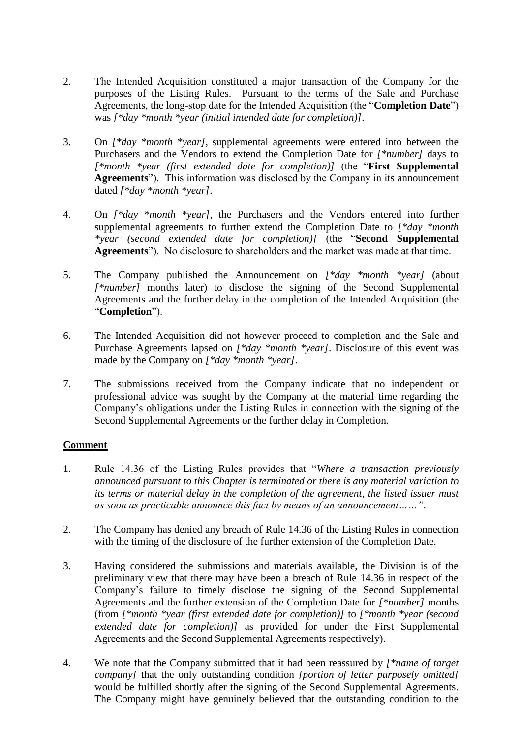- 2. The Intended Acquisition constituted a major transaction of the Company for the purposes of the Listing Rules. Pursuant to the terms of the Sale and Purchase Agreements, the long-stop date for the Intended Acquisition (the "**Completion Date**") was *[\*day \*month \*year (initial intended date for completion)]*.
- 3. On *[\*day \*month \*year]*, supplemental agreements were entered into between the Purchasers and the Vendors to extend the Completion Date for *[\*number]* days to *[\*month \*year (first extended date for completion)]* (the "**First Supplemental Agreements**"). This information was disclosed by the Company in its announcement dated *[\*day \*month \*year]*.
- 4. On *[\*day \*month \*year]*, the Purchasers and the Vendors entered into further supplemental agreements to further extend the Completion Date to *[\*day \*month \*year (second extended date for completion)]* (the "**Second Supplemental Agreements**"). No disclosure to shareholders and the market was made at that time.
- 5. The Company published the Announcement on *[\*day \*month \*year]* (about *[\*number]* months later) to disclose the signing of the Second Supplemental Agreements and the further delay in the completion of the Intended Acquisition (the "**Completion**").
- 6. The Intended Acquisition did not however proceed to completion and the Sale and Purchase Agreements lapsed on *[\*day \*month \*year]*. Disclosure of this event was made by the Company on *[\*day \*month \*year]*.
- 7. The submissions received from the Company indicate that no independent or professional advice was sought by the Company at the material time regarding the Company's obligations under the Listing Rules in connection with the signing of the Second Supplemental Agreements or the further delay in Completion.

# **Comment**

- 1. Rule 14.36 of the Listing Rules provides that "*Where a transaction previously announced pursuant to this Chapter is terminated or there is any material variation to its terms or material delay in the completion of the agreement, the listed issuer must as soon as practicable announce this fact by means of an announcement……"*.
- 2. The Company has denied any breach of Rule 14.36 of the Listing Rules in connection with the timing of the disclosure of the further extension of the Completion Date.
- 3. Having considered the submissions and materials available, the Division is of the preliminary view that there may have been a breach of Rule 14.36 in respect of the Company's failure to timely disclose the signing of the Second Supplemental Agreements and the further extension of the Completion Date for *[\*number]* months (from *[\*month \*year (first extended date for completion)]* to *[\*month \*year (second extended date for completion)]* as provided for under the First Supplemental Agreements and the Second Supplemental Agreements respectively).
- 4. We note that the Company submitted that it had been reassured by *[\*name of target company]* that the only outstanding condition *[portion of letter purposely omitted]* would be fulfilled shortly after the signing of the Second Supplemental Agreements. The Company might have genuinely believed that the outstanding condition to the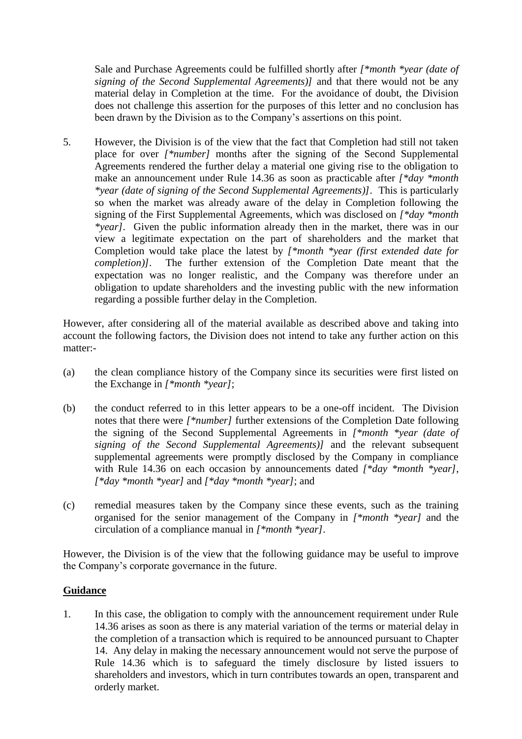Sale and Purchase Agreements could be fulfilled shortly after *[\*month \*year (date of signing of the Second Supplemental Agreements)]* and that there would not be any material delay in Completion at the time. For the avoidance of doubt, the Division does not challenge this assertion for the purposes of this letter and no conclusion has been drawn by the Division as to the Company's assertions on this point.

5. However, the Division is of the view that the fact that Completion had still not taken place for over *[\*number]* months after the signing of the Second Supplemental Agreements rendered the further delay a material one giving rise to the obligation to make an announcement under Rule 14.36 as soon as practicable after *[\*day \*month \*year (date of signing of the Second Supplemental Agreements)]*. This is particularly so when the market was already aware of the delay in Completion following the signing of the First Supplemental Agreements, which was disclosed on *[\*day \*month \*year]*. Given the public information already then in the market, there was in our view a legitimate expectation on the part of shareholders and the market that Completion would take place the latest by *[\*month \*year (first extended date for completion)]*. The further extension of the Completion Date meant that the expectation was no longer realistic, and the Company was therefore under an obligation to update shareholders and the investing public with the new information regarding a possible further delay in the Completion.

However, after considering all of the material available as described above and taking into account the following factors, the Division does not intend to take any further action on this matter:-

- (a) the clean compliance history of the Company since its securities were first listed on the Exchange in *[\*month \*year]*;
- (b) the conduct referred to in this letter appears to be a one-off incident. The Division notes that there were *[\*number]* further extensions of the Completion Date following the signing of the Second Supplemental Agreements in *[\*month \*year (date of signing of the Second Supplemental Agreements)]* and the relevant subsequent supplemental agreements were promptly disclosed by the Company in compliance with Rule 14.36 on each occasion by announcements dated *[\*day \*month \*year]*, *[\*day \*month \*year]* and *[\*day \*month \*year]*; and
- (c) remedial measures taken by the Company since these events, such as the training organised for the senior management of the Company in *[\*month \*year]* and the circulation of a compliance manual in *[\*month \*year]*.

However, the Division is of the view that the following guidance may be useful to improve the Company's corporate governance in the future.

# **Guidance**

1. In this case, the obligation to comply with the announcement requirement under Rule 14.36 arises as soon as there is any material variation of the terms or material delay in the completion of a transaction which is required to be announced pursuant to Chapter 14. Any delay in making the necessary announcement would not serve the purpose of Rule 14.36 which is to safeguard the timely disclosure by listed issuers to shareholders and investors, which in turn contributes towards an open, transparent and orderly market.